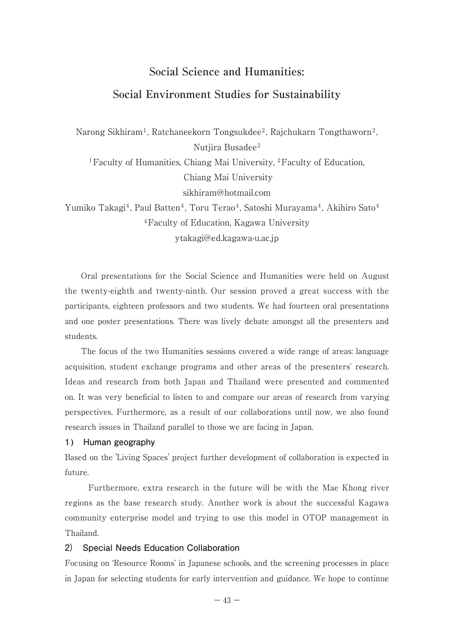# **Social Science and Humanities: Social Environment Studies for Sustainability**

Narong Sikhiram<sup>1</sup>, Ratchaneekorn Tongsukdee<sup>2</sup>, Rajchukarn Tongthaworn<sup>2</sup>, Nutjira Busadee<sup>2</sup> <sup>1</sup>Faculty of Humanities, Chiang Mai University, <sup>2</sup>Faculty of Education, Chiang Mai University sikhiram@hotmail.com

Yumiko Takagi<sup>4</sup>, Paul Batten<sup>4</sup>, Toru Terao<sup>4</sup>, Satoshi Murayama<sup>4</sup>, Akihiro Sato<sup>4</sup> 4Faculty of Education, Kagawa University ytakagi@ed.kagawa-u.ac.jp

Oral presentations for the Social Science and Humanities were held on August the twenty-eighth and twenty-ninth. Our session proved a great success with the participants, eighteen professors and two students. We had fourteen oral presentations and one poster presentations. There was lively debate amongst all the presenters and students.

The focus of the two Humanities sessions covered a wide range of areas: language acquisition, student exchange programs and other areas of the presenters' research. Ideas and research from both Japan and Thailand were presented and commented on. It was very beneficial to listen to and compare our areas of research from varying perspectives. Furthermore, as a result of our collaborations until now, we also found research issues in Thailand parallel to those we are facing in Japan.

## **1) Human geography**

Based on the 'Living Spaces' project further development of collaboration is expected in future.

 Furthermore, extra research in the future will be with the Mae Khong river regions as the base research study. Another work is about the successful Kagawa community enterprise model and trying to use this model in OTOP management in Thailand.

#### **2) Special Needs Education Collaboration**

Focusing on 'Resource Rooms' in Japanese schools, and the screening processes in place in Japan for selecting students for early intervention and guidance. We hope to continue

 $-43 -$